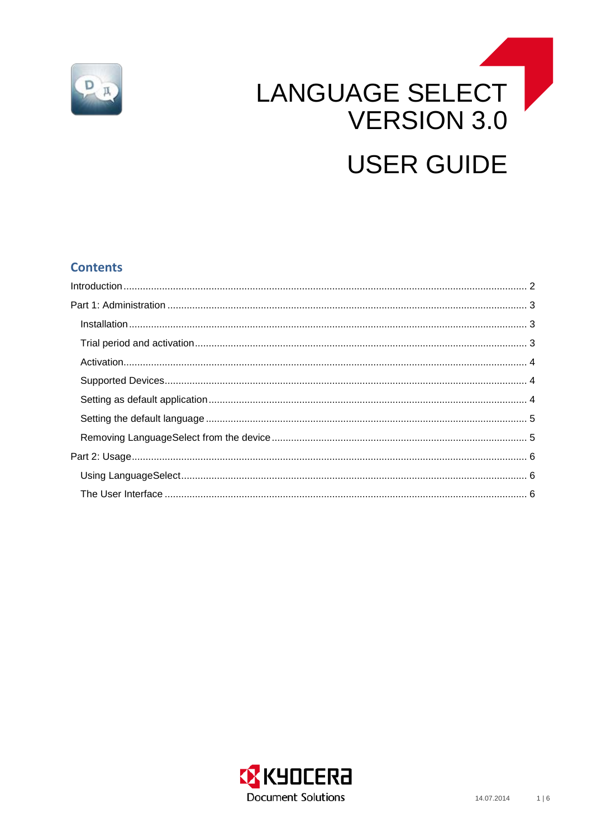

# LANGUAGE SELECT **VERSION 3.0 USER GUIDE**

# **Contents**

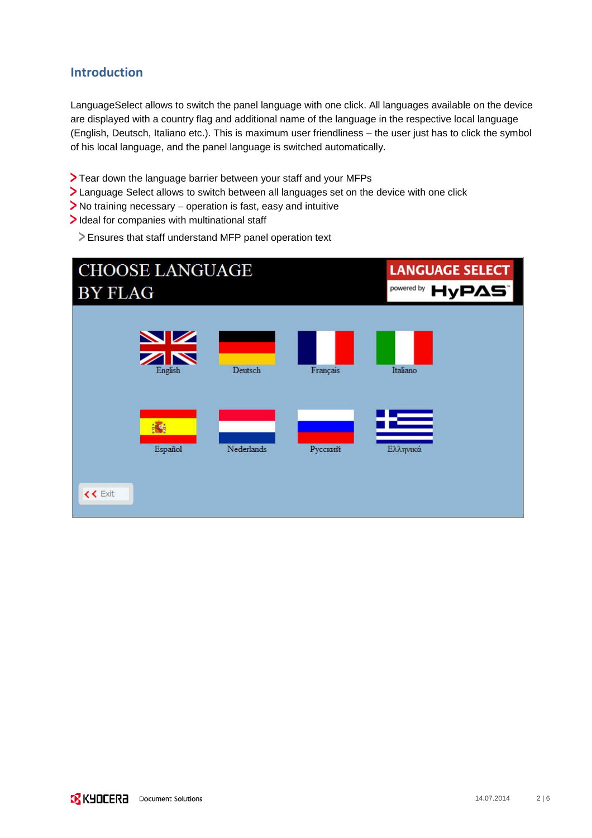# <span id="page-1-0"></span>**Introduction**

LanguageSelect allows to switch the panel language with one click. All languages available on the device are displayed with a country flag and additional name of the language in the respective local language (English, Deutsch, Italiano etc.). This is maximum user friendliness – the user just has to click the symbol of his local language, and the panel language is switched automatically.

- Tear down the language barrier between your staff and your MFPs
- Language Select allows to switch between all languages set on the device with one click
- No training necessary operation is fast, easy and intuitive
- Ideal for companies with multinational staff
	- Ensures that staff understand MFP panel operation text

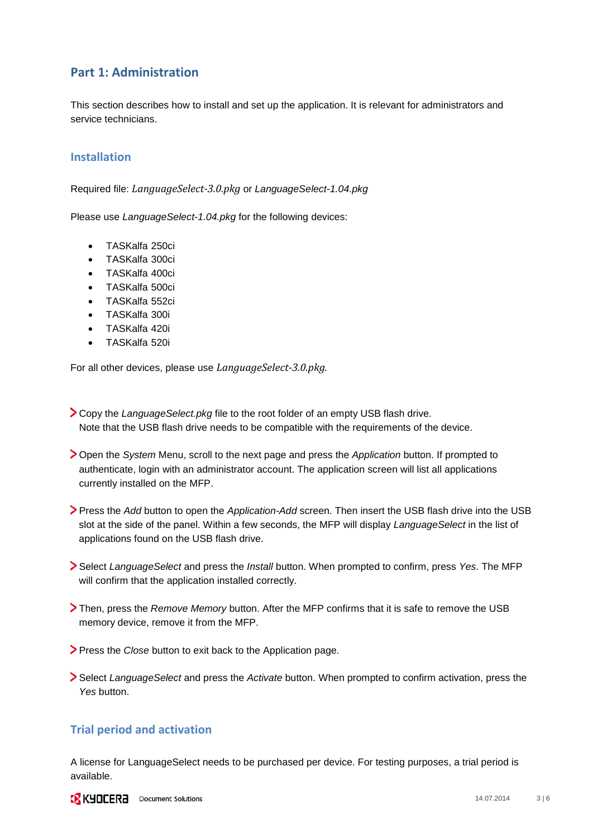# <span id="page-2-0"></span>**Part 1: Administration**

This section describes how to install and set up the application. It is relevant for administrators and service technicians.

#### <span id="page-2-1"></span>**Installation**

Required file: *LanguageSelect-3.0.pkg* or *LanguageSelect-1.04.pkg*

Please use *LanguageSelect-1.04.pkg* for the following devices:

- TASKalfa 250ci
- TASKalfa 300ci
- TASKalfa 400ci
- TASKalfa 500ci
- TASKalfa 552ci
- TASKalfa 300i
- TASKalfa 420i
- TASKalfa 520i

For all other devices, please use *LanguageSelect-3.0.pkg.*

- Copy the *LanguageSelect.pkg* file to the root folder of an empty USB flash drive. Note that the USB flash drive needs to be compatible with the requirements of the device.
- Open the *System* Menu, scroll to the next page and press the *Application* button. If prompted to authenticate, login with an administrator account. The application screen will list all applications currently installed on the MFP.
- Press the *Add* button to open the *Application-Add* screen. Then insert the USB flash drive into the USB slot at the side of the panel. Within a few seconds, the MFP will display *LanguageSelect* in the list of applications found on the USB flash drive.
- Select *LanguageSelect* and press the *Install* button. When prompted to confirm, press *Yes*. The MFP will confirm that the application installed correctly.
- Then, press the *Remove Memory* button. After the MFP confirms that it is safe to remove the USB memory device, remove it from the MFP.
- **Press the** *Close* button to exit back to the Application page.
- Select *LanguageSelect* and press the *Activate* button. When prompted to confirm activation, press the *Yes* button.

#### <span id="page-2-2"></span>**Trial period and activation**

A license for LanguageSelect needs to be purchased per device. For testing purposes, a trial period is available.

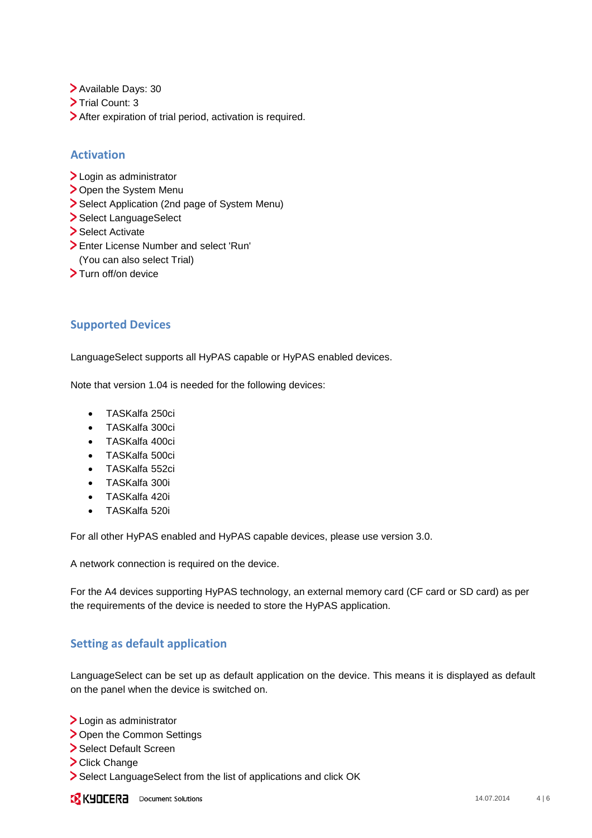- > Available Days: 30
- Trial Count: 3
- > After expiration of trial period, activation is required.

### <span id="page-3-0"></span>**Activation**

- > Login as administrator
- > Open the System Menu
- Select Application (2nd page of System Menu)
- > Select LanguageSelect
- Select Activate
- Enter License Number and select 'Run' (You can also select Trial)
- > Turn off/on device

# <span id="page-3-1"></span>**Supported Devices**

LanguageSelect supports all HyPAS capable or HyPAS enabled devices.

Note that version 1.04 is needed for the following devices:

- TASKalfa 250ci
- TASKalfa 300ci
- TASKalfa 400ci
- TASKalfa 500ci
- TASKalfa 552ci
- TASKalfa 300i
- TASKalfa 420i
- TASKalfa 520i

For all other HyPAS enabled and HyPAS capable devices, please use version 3.0.

A network connection is required on the device.

For the A4 devices supporting HyPAS technology, an external memory card (CF card or SD card) as per the requirements of the device is needed to store the HyPAS application.

## <span id="page-3-2"></span>**Setting as default application**

LanguageSelect can be set up as default application on the device. This means it is displayed as default on the panel when the device is switched on.

- > Login as administrator
- > Open the Common Settings
- > Select Default Screen
- > Click Change
- Select LanguageSelect from the list of applications and click OK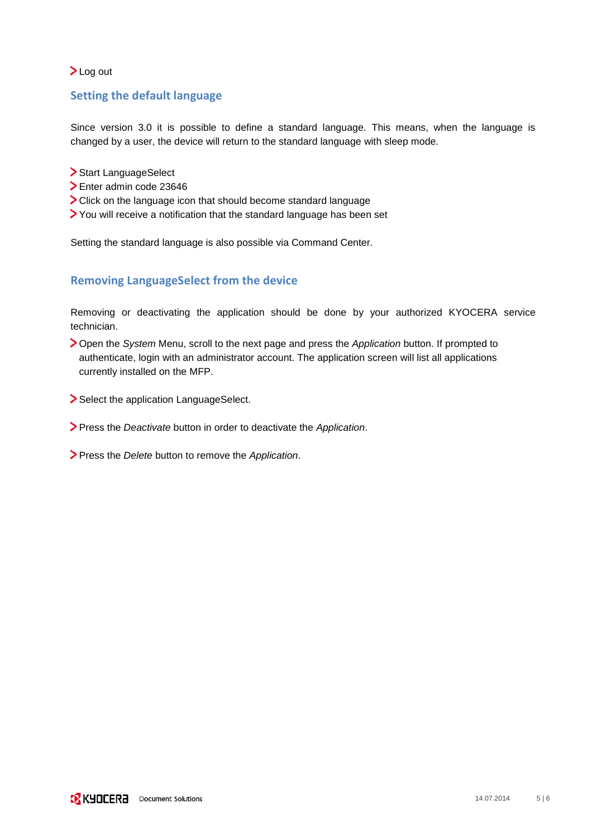#### >Log out

## <span id="page-4-0"></span>**Setting the default language**

Since version 3.0 it is possible to define a standard language. This means, when the language is changed by a user, the device will return to the standard language with sleep mode.

- > Start LanguageSelect
- Enter admin code 23646
- Click on the language icon that should become standard language
- You will receive a notification that the standard language has been set

Setting the standard language is also possible via Command Center.

## <span id="page-4-1"></span>**Removing LanguageSelect from the device**

Removing or deactivating the application should be done by your authorized KYOCERA service technician.

- Open the *System* Menu, scroll to the next page and press the *Application* button. If prompted to authenticate, login with an administrator account. The application screen will list all applications currently installed on the MFP.
- Select the application LanguageSelect.
- Press the *Deactivate* button in order to deactivate the *Application*.
- Press the *Delete* button to remove the *Application*.